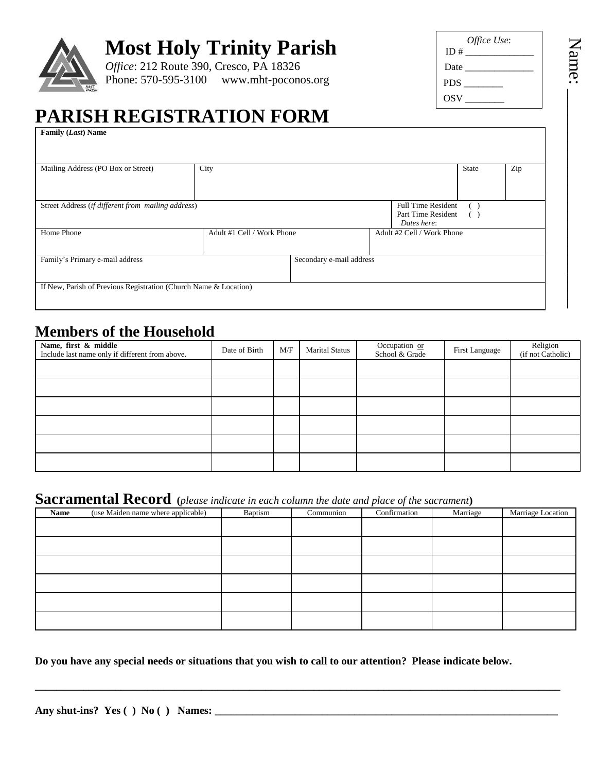

# **Most Holy Trinity Parish**

*Office*: 212 Route 390, Cresco, PA 18326 Phone: 570-595-3100 www.mht-poconos.org

|      | Office Use:                                                                                                    |  |
|------|----------------------------------------------------------------------------------------------------------------|--|
| ID # |                                                                                                                |  |
| Date |                                                                                                                |  |
|      | PDS FOR THE POST OF THE POST OF THE POST OF THE POST OF THE POST OF THE POST OF THE POST OF THE POST OF THE PO |  |
| OSV  |                                                                                                                |  |

 $N$ ame:  $\Box$ 

Name:

## **PARISH REGISTRATION FORM**

**Family (***Last***) Name**

| Mailing Address (PO Box or Street)                               | City |                            |                          |                                                                   | <b>State</b> | Zip |
|------------------------------------------------------------------|------|----------------------------|--------------------------|-------------------------------------------------------------------|--------------|-----|
|                                                                  |      |                            |                          |                                                                   |              |     |
| Street Address (if different from mailing address)               |      |                            |                          | <b>Full Time Resident</b><br>Part Time Resident ()<br>Dates here: |              |     |
| Home Phone                                                       |      | Adult #1 Cell / Work Phone |                          | Adult #2 Cell / Work Phone                                        |              |     |
| Family's Primary e-mail address                                  |      |                            | Secondary e-mail address |                                                                   |              |     |
| If New, Parish of Previous Registration (Church Name & Location) |      |                            |                          |                                                                   |              |     |

### **Members of the Household**

| Name, first & middle<br>Include last name only if different from above. | Date of Birth | M/F | <b>Marital Status</b> | Occupation or<br>School & Grade | First Language | Religion<br>(if not Catholic) |
|-------------------------------------------------------------------------|---------------|-----|-----------------------|---------------------------------|----------------|-------------------------------|
|                                                                         |               |     |                       |                                 |                |                               |
|                                                                         |               |     |                       |                                 |                |                               |
|                                                                         |               |     |                       |                                 |                |                               |
|                                                                         |               |     |                       |                                 |                |                               |
|                                                                         |               |     |                       |                                 |                |                               |
|                                                                         |               |     |                       |                                 |                |                               |

### **Sacramental Record (***please indicate in each column the date and place of the sacrament***)**

| Name | . .<br>(use Maiden name where applicable) | Baptism | Communion | $\overline{\phantom{a}}$<br>$\cdot$<br>Confirmation | Marriage | Marriage Location |
|------|-------------------------------------------|---------|-----------|-----------------------------------------------------|----------|-------------------|
|      |                                           |         |           |                                                     |          |                   |
|      |                                           |         |           |                                                     |          |                   |
|      |                                           |         |           |                                                     |          |                   |
|      |                                           |         |           |                                                     |          |                   |
|      |                                           |         |           |                                                     |          |                   |
|      |                                           |         |           |                                                     |          |                   |
|      |                                           |         |           |                                                     |          |                   |

#### **Do you have any special needs or situations that you wish to call to our attention? Please indicate below.**

**\_\_\_\_\_\_\_\_\_\_\_\_\_\_\_\_\_\_\_\_\_\_\_\_\_\_\_\_\_\_\_\_\_\_\_\_\_\_\_\_\_\_\_\_\_\_\_\_\_\_\_\_\_\_\_\_\_\_\_\_\_\_\_\_\_\_\_\_\_\_\_\_\_\_\_\_\_\_\_\_\_\_\_\_\_\_\_\_\_\_\_\_\_\_\_\_\_\_**

| Any shut-ins? $Yes( ) No( )$ Names: |  |  |  |
|-------------------------------------|--|--|--|
|                                     |  |  |  |